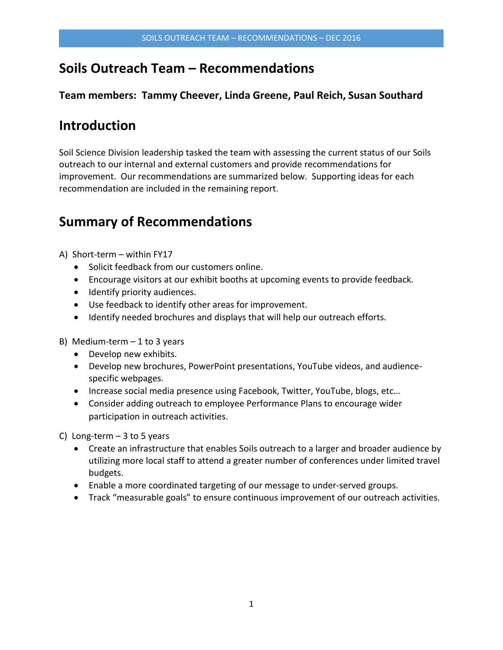## **Soils Outreach Team – Recommendations**

### **Team members: Tammy Cheever, Linda Greene, Paul Reich, Susan Southard**

# **Introduction**

Soil Science Division leadership tasked the team with assessing the current status of our Soils outreach to our internal and external customers and provide recommendations for improvement. Our recommendations are summarized below. Supporting ideas for each recommendation are included in the remaining report.

# **Summary of Recommendations**

A) Short-term – within FY17

- Solicit feedback from our customers online.
- Encourage visitors at our exhibit booths at upcoming events to provide feedback.
- Identify priority audiences.
- Use feedback to identify other areas for improvement.
- Identify needed brochures and displays that will help our outreach efforts.
- B) Medium-term  $-1$  to 3 years
	- Develop new exhibits.
	- Develop new brochures, PowerPoint presentations, YouTube videos, and audiencespecific webpages.
	- Increase social media presence using Facebook, Twitter, YouTube, blogs, etc…
	- Consider adding outreach to employee Performance Plans to encourage wider participation in outreach activities.

C) Long-term  $-3$  to 5 years

- Create an infrastructure that enables Soils outreach to a larger and broader audience by utilizing more local staff to attend a greater number of conferences under limited travel budgets.
- Enable a more coordinated targeting of our message to under-served groups.
- Track "measurable goals" to ensure continuous improvement of our outreach activities.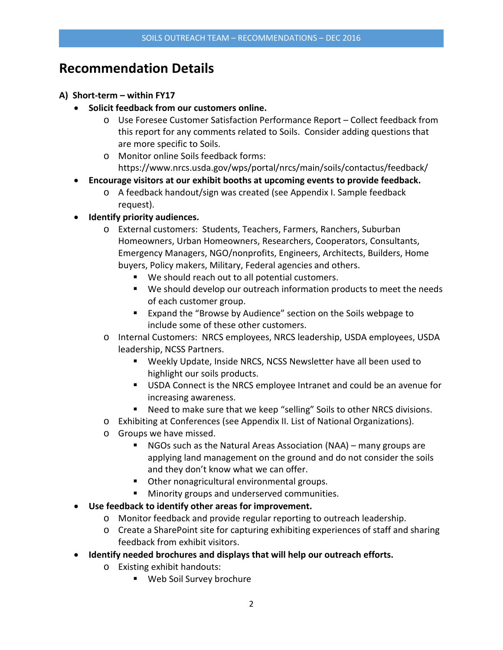## **Recommendation Details**

#### **A) Short-term – within FY17**

- **Solicit feedback from our customers online.** 
	- o Use Foresee Customer Satisfaction Performance Report Collect feedback from this report for any comments related to Soils. Consider adding questions that are more specific to Soils.
	- o Monitor online Soils feedback forms: https://www.nrcs.usda.gov/wps/portal/nrcs/main/soils/contactus/feedback/
- **Encourage visitors at our exhibit booths at upcoming events to provide feedback.**
	- o A feedback handout/sign was created (see Appendix I. Sample feedback request).
- **Identify priority audiences.**
	- o External customers: Students, Teachers, Farmers, Ranchers, Suburban Homeowners, Urban Homeowners, Researchers, Cooperators, Consultants, Emergency Managers, NGO/nonprofits, Engineers, Architects, Builders, Home buyers, Policy makers, Military, Federal agencies and others.
		- We should reach out to all potential customers.
		- We should develop our outreach information products to meet the needs of each customer group.
		- Expand the "Browse by Audience" section on the Soils webpage to include some of these other customers.
	- o Internal Customers: NRCS employees, NRCS leadership, USDA employees, USDA leadership, NCSS Partners.
		- Weekly Update, Inside NRCS, NCSS Newsletter have all been used to highlight our soils products.
		- USDA Connect is the NRCS employee Intranet and could be an avenue for increasing awareness.
		- Need to make sure that we keep "selling" Soils to other NRCS divisions.
	- o Exhibiting at Conferences (see Appendix II. List of National Organizations).
	- o Groups we have missed.
		- NGOs such as the Natural Areas Association (NAA) many groups are applying land management on the ground and do not consider the soils and they don't know what we can offer.
		- Other nonagricultural environmental groups.
		- **Minority groups and underserved communities.**
- **Use feedback to identify other areas for improvement.**
	- o Monitor feedback and provide regular reporting to outreach leadership.
	- o Create a SharePoint site for capturing exhibiting experiences of staff and sharing feedback from exhibit visitors.
- **Identify needed brochures and displays that will help our outreach efforts.**
	- o Existing exhibit handouts:
		- Web Soil Survey brochure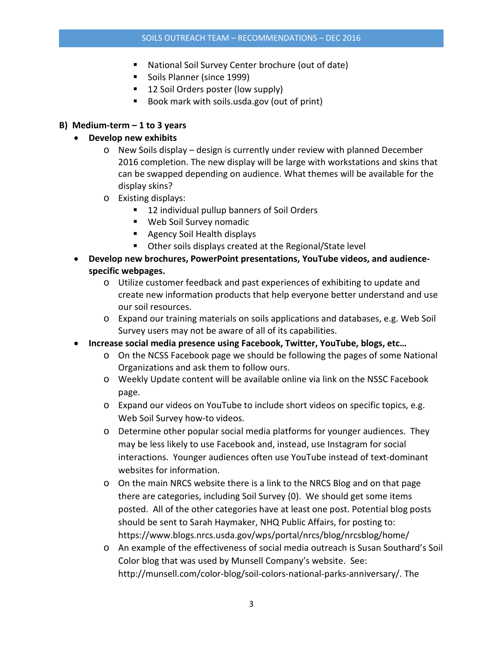- National Soil Survey Center brochure (out of date)
- Soils Planner (since 1999)
- 12 Soil Orders poster (low supply)
- Book mark with soils.usda.gov (out of print)

#### **B) Medium-term – 1 to 3 years**

#### • **Develop new exhibits**

- $\circ$  New Soils display design is currently under review with planned December 2016 completion. The new display will be large with workstations and skins that can be swapped depending on audience. What themes will be available for the display skins?
- o Existing displays:
	- 12 individual pullup banners of Soil Orders
	- Web Soil Survey nomadic
	- **Agency Soil Health displays**
	- Other soils displays created at the Regional/State level
- **Develop new brochures, PowerPoint presentations, YouTube videos, and audiencespecific webpages.**
	- o Utilize customer feedback and past experiences of exhibiting to update and create new information products that help everyone better understand and use our soil resources.
	- o Expand our training materials on soils applications and databases, e.g. Web Soil Survey users may not be aware of all of its capabilities.
- **Increase social media presence using Facebook, Twitter, YouTube, blogs, etc…**
	- o On the NCSS Facebook page we should be following the pages of some National Organizations and ask them to follow ours.
	- o Weekly Update content will be available online via link on the NSSC Facebook page.
	- o Expand our videos on YouTube to include short videos on specific topics, e.g. Web Soil Survey how-to videos.
	- o Determine other popular social media platforms for younger audiences. They may be less likely to use Facebook and, instead, use Instagram for social interactions. Younger audiences often use YouTube instead of text-dominant websites for information.
	- o On the main NRCS website there is a link to the NRCS Blog and on that page there are categories, including Soil Survey (0). We should get some items posted. All of the other categories have at least one post. Potential blog posts should be sent to Sarah Haymaker, NHQ Public Affairs, for posting to: https://www.blogs.nrcs.usda.gov/wps/portal/nrcs/blog/nrcsblog/home/
	- o An example of the effectiveness of social media outreach is Susan Southard's Soil Color blog that was used by Munsell Company's website. See: http://munsell.com/color-blog/soil-colors-national-parks-anniversary/. The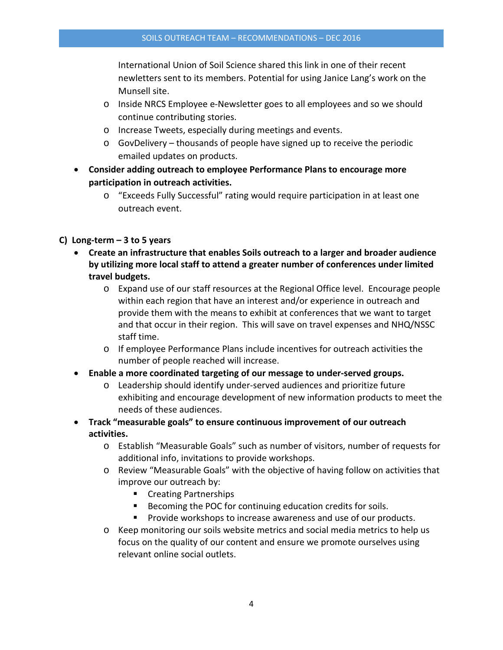International Union of Soil Science shared this link in one of their recent newletters sent to its members. Potential for using Janice Lang's work on the Munsell site.

- o Inside NRCS Employee e-Newsletter goes to all employees and so we should continue contributing stories.
- o Increase Tweets, especially during meetings and events.
- $\circ$  GovDelivery thousands of people have signed up to receive the periodic emailed updates on products.
- **Consider adding outreach to employee Performance Plans to encourage more participation in outreach activities.**
	- o "Exceeds Fully Successful" rating would require participation in at least one outreach event.

#### **C) Long-term – 3 to 5 years**

- **Create an infrastructure that enables Soils outreach to a larger and broader audience by utilizing more local staff to attend a greater number of conferences under limited travel budgets.** 
	- o Expand use of our staff resources at the Regional Office level. Encourage people within each region that have an interest and/or experience in outreach and provide them with the means to exhibit at conferences that we want to target and that occur in their region. This will save on travel expenses and NHQ/NSSC staff time.
	- o If employee Performance Plans include incentives for outreach activities the number of people reached will increase.
- **Enable a more coordinated targeting of our message to under-served groups.**
	- o Leadership should identify under-served audiences and prioritize future exhibiting and encourage development of new information products to meet the needs of these audiences.
- **Track "measurable goals" to ensure continuous improvement of our outreach activities.**
	- o Establish "Measurable Goals" such as number of visitors, number of requests for additional info, invitations to provide workshops.
	- o Review "Measurable Goals" with the objective of having follow on activities that improve our outreach by:
		- Creating Partnerships
		- Becoming the POC for continuing education credits for soils.
		- **Provide workshops to increase awareness and use of our products.**
	- o Keep monitoring our soils website metrics and social media metrics to help us focus on the quality of our content and ensure we promote ourselves using relevant online social outlets.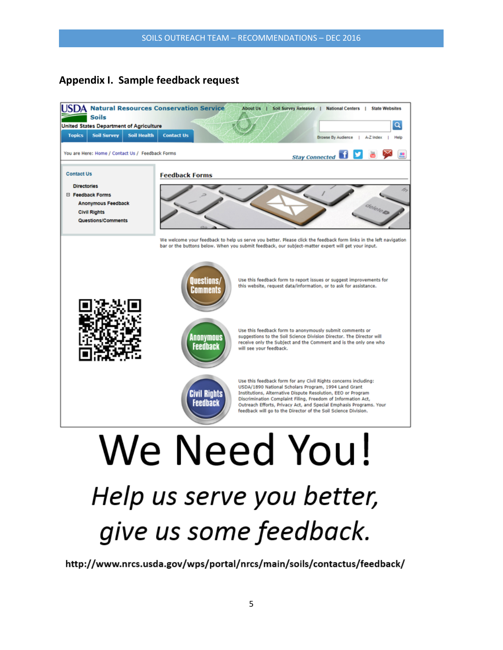## **Appendix I. Sample feedback request**



# Help us serve you better, give us some feedback.

http://www.nrcs.usda.gov/wps/portal/nrcs/main/soils/contactus/feedback/